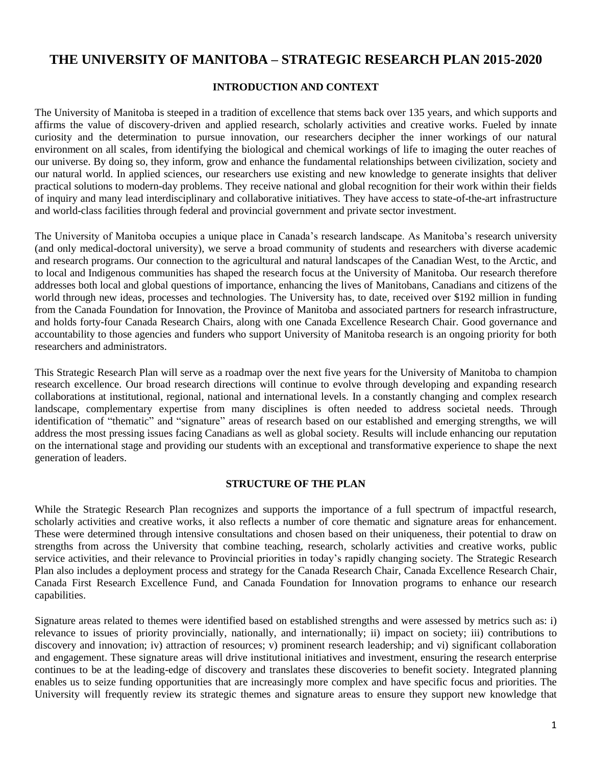# **THE UNIVERSITY OF MANITOBA – STRATEGIC RESEARCH PLAN 2015-2020**

### **INTRODUCTION AND CONTEXT**

The University of Manitoba is steeped in a tradition of excellence that stems back over 135 years, and which supports and affirms the value of discovery-driven and applied research, scholarly activities and creative works. Fueled by innate curiosity and the determination to pursue innovation, our researchers decipher the inner workings of our natural environment on all scales, from identifying the biological and chemical workings of life to imaging the outer reaches of our universe. By doing so, they inform, grow and enhance the fundamental relationships between civilization, society and our natural world. In applied sciences, our researchers use existing and new knowledge to generate insights that deliver practical solutions to modern-day problems. They receive national and global recognition for their work within their fields of inquiry and many lead interdisciplinary and collaborative initiatives. They have access to state-of-the-art infrastructure and world-class facilities through federal and provincial government and private sector investment.

The University of Manitoba occupies a unique place in Canada's research landscape. As Manitoba's research university (and only medical-doctoral university), we serve a broad community of students and researchers with diverse academic and research programs. Our connection to the agricultural and natural landscapes of the Canadian West, to the Arctic, and to local and Indigenous communities has shaped the research focus at the University of Manitoba. Our research therefore addresses both local and global questions of importance, enhancing the lives of Manitobans, Canadians and citizens of the world through new ideas, processes and technologies. The University has, to date, received over \$192 million in funding from the Canada Foundation for Innovation, the Province of Manitoba and associated partners for research infrastructure, and holds forty-four Canada Research Chairs, along with one Canada Excellence Research Chair. Good governance and accountability to those agencies and funders who support University of Manitoba research is an ongoing priority for both researchers and administrators.

This Strategic Research Plan will serve as a roadmap over the next five years for the University of Manitoba to champion research excellence. Our broad research directions will continue to evolve through developing and expanding research collaborations at institutional, regional, national and international levels. In a constantly changing and complex research landscape, complementary expertise from many disciplines is often needed to address societal needs. Through identification of "thematic" and "signature" areas of research based on our established and emerging strengths, we will address the most pressing issues facing Canadians as well as global society. Results will include enhancing our reputation on the international stage and providing our students with an exceptional and transformative experience to shape the next generation of leaders.

#### **STRUCTURE OF THE PLAN**

While the Strategic Research Plan recognizes and supports the importance of a full spectrum of impactful research, scholarly activities and creative works, it also reflects a number of core thematic and signature areas for enhancement. These were determined through intensive consultations and chosen based on their uniqueness, their potential to draw on strengths from across the University that combine teaching, research, scholarly activities and creative works, public service activities, and their relevance to Provincial priorities in today's rapidly changing society. The Strategic Research Plan also includes a deployment process and strategy for the Canada Research Chair, Canada Excellence Research Chair, Canada First Research Excellence Fund, and Canada Foundation for Innovation programs to enhance our research capabilities.

Signature areas related to themes were identified based on established strengths and were assessed by metrics such as: i) relevance to issues of priority provincially, nationally, and internationally; ii) impact on society; iii) contributions to discovery and innovation; iv) attraction of resources; v) prominent research leadership; and vi) significant collaboration and engagement. These signature areas will drive institutional initiatives and investment, ensuring the research enterprise continues to be at the leading-edge of discovery and translates these discoveries to benefit society. Integrated planning enables us to seize funding opportunities that are increasingly more complex and have specific focus and priorities. The University will frequently review its strategic themes and signature areas to ensure they support new knowledge that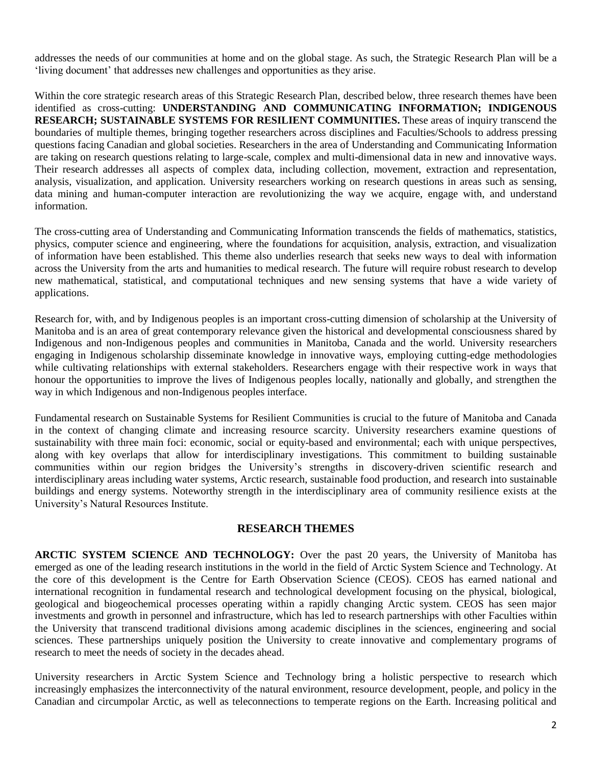addresses the needs of our communities at home and on the global stage. As such, the Strategic Research Plan will be a 'living document' that addresses new challenges and opportunities as they arise.

Within the core strategic research areas of this Strategic Research Plan, described below, three research themes have been identified as cross-cutting: **UNDERSTANDING AND COMMUNICATING INFORMATION; INDIGENOUS RESEARCH; SUSTAINABLE SYSTEMS FOR RESILIENT COMMUNITIES.** These areas of inquiry transcend the boundaries of multiple themes, bringing together researchers across disciplines and Faculties/Schools to address pressing questions facing Canadian and global societies. Researchers in the area of Understanding and Communicating Information are taking on research questions relating to large-scale, complex and multi-dimensional data in new and innovative ways. Their research addresses all aspects of complex data, including collection, movement, extraction and representation, analysis, visualization, and application. University researchers working on research questions in areas such as sensing, data mining and human-computer interaction are revolutionizing the way we acquire, engage with, and understand information.

The cross-cutting area of Understanding and Communicating Information transcends the fields of mathematics, statistics, physics, computer science and engineering, where the foundations for acquisition, analysis, extraction, and visualization of information have been established. This theme also underlies research that seeks new ways to deal with information across the University from the arts and humanities to medical research. The future will require robust research to develop new mathematical, statistical, and computational techniques and new sensing systems that have a wide variety of applications.

Research for, with, and by Indigenous peoples is an important cross-cutting dimension of scholarship at the University of Manitoba and is an area of great contemporary relevance given the historical and developmental consciousness shared by Indigenous and non-Indigenous peoples and communities in Manitoba, Canada and the world. University researchers engaging in Indigenous scholarship disseminate knowledge in innovative ways, employing cutting-edge methodologies while cultivating relationships with external stakeholders. Researchers engage with their respective work in ways that honour the opportunities to improve the lives of Indigenous peoples locally, nationally and globally, and strengthen the way in which Indigenous and non-Indigenous peoples interface.

Fundamental research on Sustainable Systems for Resilient Communities is crucial to the future of Manitoba and Canada in the context of changing climate and increasing resource scarcity. University researchers examine questions of sustainability with three main foci: economic, social or equity-based and environmental; each with unique perspectives, along with key overlaps that allow for interdisciplinary investigations. This commitment to building sustainable communities within our region bridges the University's strengths in discovery-driven scientific research and interdisciplinary areas including water systems, Arctic research, sustainable food production, and research into sustainable buildings and energy systems. Noteworthy strength in the interdisciplinary area of community resilience exists at the University's Natural Resources Institute.

# **RESEARCH THEMES**

**ARCTIC SYSTEM SCIENCE AND TECHNOLOGY:** Over the past 20 years, the University of Manitoba has emerged as one of the leading research institutions in the world in the field of Arctic System Science and Technology. At the core of this development is the Centre for Earth Observation Science (CEOS). CEOS has earned national and international recognition in fundamental research and technological development focusing on the physical, biological, geological and biogeochemical processes operating within a rapidly changing Arctic system. CEOS has seen major investments and growth in personnel and infrastructure, which has led to research partnerships with other Faculties within the University that transcend traditional divisions among academic disciplines in the sciences, engineering and social sciences. These partnerships uniquely position the University to create innovative and complementary programs of research to meet the needs of society in the decades ahead.

University researchers in Arctic System Science and Technology bring a holistic perspective to research which increasingly emphasizes the interconnectivity of the natural environment, resource development, people, and policy in the Canadian and circumpolar Arctic, as well as teleconnections to temperate regions on the Earth. Increasing political and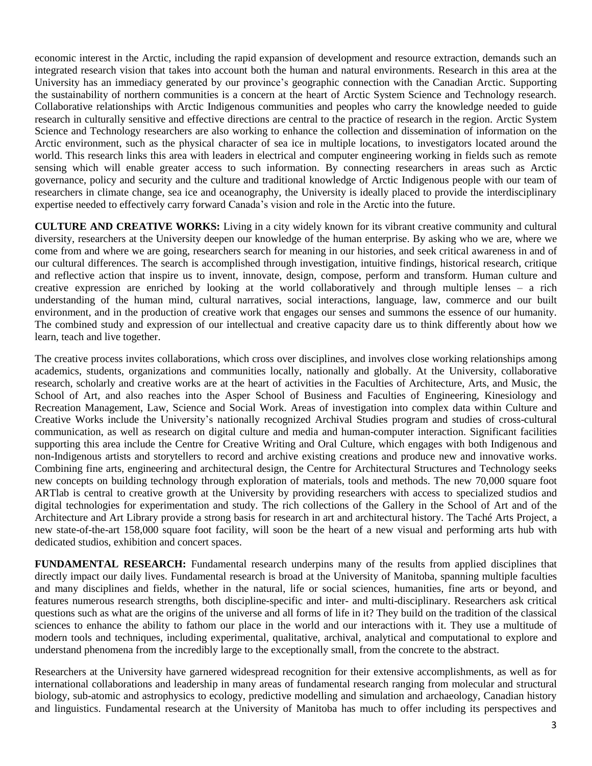economic interest in the Arctic, including the rapid expansion of development and resource extraction, demands such an integrated research vision that takes into account both the human and natural environments. Research in this area at the University has an immediacy generated by our province's geographic connection with the Canadian Arctic. Supporting the sustainability of northern communities is a concern at the heart of Arctic System Science and Technology research. Collaborative relationships with Arctic Indigenous communities and peoples who carry the knowledge needed to guide research in culturally sensitive and effective directions are central to the practice of research in the region. Arctic System Science and Technology researchers are also working to enhance the collection and dissemination of information on the Arctic environment, such as the physical character of sea ice in multiple locations, to investigators located around the world. This research links this area with leaders in electrical and computer engineering working in fields such as remote sensing which will enable greater access to such information. By connecting researchers in areas such as Arctic governance, policy and security and the culture and traditional knowledge of Arctic Indigenous people with our team of researchers in climate change, sea ice and oceanography, the University is ideally placed to provide the interdisciplinary expertise needed to effectively carry forward Canada's vision and role in the Arctic into the future.

**CULTURE AND CREATIVE WORKS:** Living in a city widely known for its vibrant creative community and cultural diversity, researchers at the University deepen our knowledge of the human enterprise. By asking who we are, where we come from and where we are going, researchers search for meaning in our histories, and seek critical awareness in and of our cultural differences. The search is accomplished through investigation, intuitive findings, historical research, critique and reflective action that inspire us to invent, innovate, design, compose, perform and transform. Human culture and creative expression are enriched by looking at the world collaboratively and through multiple lenses – a rich understanding of the human mind, cultural narratives, social interactions, language, law, commerce and our built environment, and in the production of creative work that engages our senses and summons the essence of our humanity. The combined study and expression of our intellectual and creative capacity dare us to think differently about how we learn, teach and live together.

The creative process invites collaborations, which cross over disciplines, and involves close working relationships among academics, students, organizations and communities locally, nationally and globally. At the University, collaborative research, scholarly and creative works are at the heart of activities in the Faculties of Architecture, Arts, and Music, the School of Art, and also reaches into the Asper School of Business and Faculties of Engineering, Kinesiology and Recreation Management, Law, Science and Social Work. Areas of investigation into complex data within Culture and Creative Works include the University's nationally recognized Archival Studies program and studies of cross-cultural communication, as well as research on digital culture and media and human-computer interaction. Significant facilities supporting this area include the Centre for Creative Writing and Oral Culture, which engages with both Indigenous and non-Indigenous artists and storytellers to record and archive existing creations and produce new and innovative works. Combining fine arts, engineering and architectural design, the Centre for Architectural Structures and Technology seeks new concepts on building technology through exploration of materials, tools and methods. The new 70,000 square foot ARTlab is central to creative growth at the University by providing researchers with access to specialized studios and digital technologies for experimentation and study. The rich collections of the Gallery in the School of Art and of the Architecture and Art Library provide a strong basis for research in art and architectural history. The Taché Arts Project, a new state-of-the-art 158,000 square foot facility, will soon be the heart of a new visual and performing arts hub with dedicated studios, exhibition and concert spaces.

**FUNDAMENTAL RESEARCH:** Fundamental research underpins many of the results from applied disciplines that directly impact our daily lives. Fundamental research is broad at the University of Manitoba, spanning multiple faculties and many disciplines and fields, whether in the natural, life or social sciences, humanities, fine arts or beyond, and features numerous research strengths, both discipline-specific and inter- and multi-disciplinary. Researchers ask critical questions such as what are the origins of the universe and all forms of life in it? They build on the tradition of the classical sciences to enhance the ability to fathom our place in the world and our interactions with it. They use a multitude of modern tools and techniques, including experimental, qualitative, archival, analytical and computational to explore and understand phenomena from the incredibly large to the exceptionally small, from the concrete to the abstract.

Researchers at the University have garnered widespread recognition for their extensive accomplishments, as well as for international collaborations and leadership in many areas of fundamental research ranging from molecular and structural biology, sub-atomic and astrophysics to ecology, predictive modelling and simulation and archaeology, Canadian history and linguistics. Fundamental research at the University of Manitoba has much to offer including its perspectives and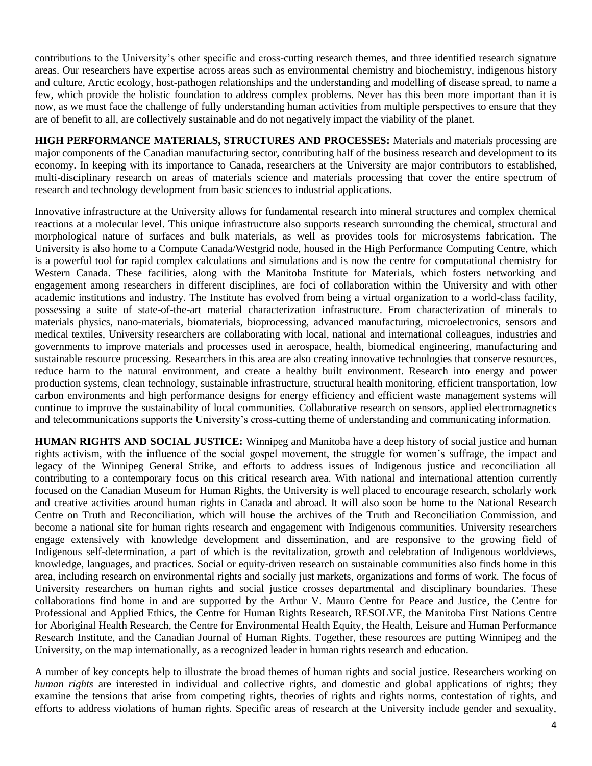contributions to the University's other specific and cross-cutting research themes, and three identified research signature areas. Our researchers have expertise across areas such as environmental chemistry and biochemistry, indigenous history and culture, Arctic ecology, host-pathogen relationships and the understanding and modelling of disease spread, to name a few, which provide the holistic foundation to address complex problems. Never has this been more important than it is now, as we must face the challenge of fully understanding human activities from multiple perspectives to ensure that they are of benefit to all, are collectively sustainable and do not negatively impact the viability of the planet.

**HIGH PERFORMANCE MATERIALS, STRUCTURES AND PROCESSES:** Materials and materials processing are major components of the Canadian manufacturing sector, contributing half of the business research and development to its economy. In keeping with its importance to Canada, researchers at the University are major contributors to established, multi-disciplinary research on areas of materials science and materials processing that cover the entire spectrum of research and technology development from basic sciences to industrial applications.

Innovative infrastructure at the University allows for fundamental research into mineral structures and complex chemical reactions at a molecular level. This unique infrastructure also supports research surrounding the chemical, structural and morphological nature of surfaces and bulk materials, as well as provides tools for microsystems fabrication. The University is also home to a Compute Canada/Westgrid node, housed in the High Performance Computing Centre, which is a powerful tool for rapid complex calculations and simulations and is now the centre for computational chemistry for Western Canada. These facilities, along with the Manitoba Institute for Materials, which fosters networking and engagement among researchers in different disciplines, are foci of collaboration within the University and with other academic institutions and industry. The Institute has evolved from being a virtual organization to a world-class facility, possessing a suite of state-of-the-art material characterization infrastructure. From characterization of minerals to materials physics, nano-materials, biomaterials, bioprocessing, advanced manufacturing, microelectronics, sensors and medical textiles, University researchers are collaborating with local, national and international colleagues, industries and governments to improve materials and processes used in aerospace, health, biomedical engineering, manufacturing and sustainable resource processing. Researchers in this area are also creating innovative technologies that conserve resources, reduce harm to the natural environment, and create a healthy built environment. Research into energy and power production systems, clean technology, sustainable infrastructure, structural health monitoring, efficient transportation, low carbon environments and high performance designs for energy efficiency and efficient waste management systems will continue to improve the sustainability of local communities. Collaborative research on sensors, applied electromagnetics and telecommunications supports the University's cross-cutting theme of understanding and communicating information.

**HUMAN RIGHTS AND SOCIAL JUSTICE:** Winnipeg and Manitoba have a deep history of social justice and human rights activism, with the influence of the social gospel movement, the struggle for women's suffrage, the impact and legacy of the Winnipeg General Strike, and efforts to address issues of Indigenous justice and reconciliation all contributing to a contemporary focus on this critical research area. With national and international attention currently focused on the Canadian Museum for Human Rights, the University is well placed to encourage research, scholarly work and creative activities around human rights in Canada and abroad. It will also soon be home to the National Research Centre on Truth and Reconciliation, which will house the archives of the Truth and Reconciliation Commission, and become a national site for human rights research and engagement with Indigenous communities. University researchers engage extensively with knowledge development and dissemination, and are responsive to the growing field of Indigenous self-determination, a part of which is the revitalization, growth and celebration of Indigenous worldviews, knowledge, languages, and practices. Social or equity-driven research on sustainable communities also finds home in this area, including research on environmental rights and socially just markets, organizations and forms of work. The focus of University researchers on human rights and social justice crosses departmental and disciplinary boundaries. These collaborations find home in and are supported by the [Arthur V. Mauro Centre for Peace and Justice,](http://umanitoba.ca/mauro_centre/) the [Centre for](http://umanitoba.ca/ethics_centre/)  Professional [and Applied Ethics,](http://umanitoba.ca/ethics_centre/) the [Centre for Human Rights Research,](http://chrr.info/) [RESOLVE,](http://umanitoba.ca/centres/resolve/whoweare.html) the [Manitoba First Nations Centre](http://umanitoba.ca/centres/cahr/)  [for Aboriginal Health Research,](http://umanitoba.ca/centres/cahr/) the [Centre for Environmental Health Equity,](http://www.cehe.ca/) the Health, Leisure and Human Performance Research Institute, and the [Canadian Journal of Human Rights.](http://cjhr.ca/) Together, these resources are putting Winnipeg and the University, on the map internationally, as a recognized leader in human rights research and education.

A number of key concepts help to illustrate the broad themes of human rights and social justice. Researchers working on *human rights* are interested in individual and collective rights, and domestic and global applications of rights; they examine the tensions that arise from competing rights, theories of rights and rights norms, contestation of rights, and efforts to address violations of human rights. Specific areas of research at the University include gender and sexuality,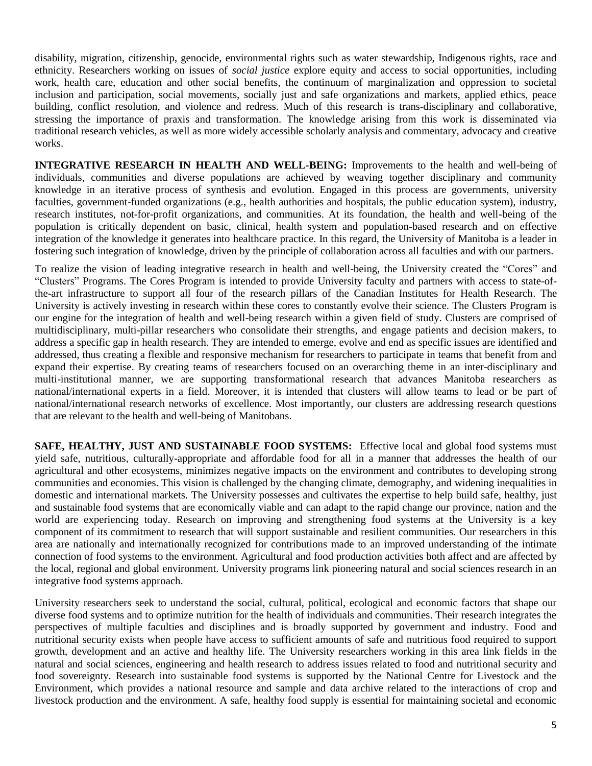disability, migration, citizenship, genocide, environmental rights such as water stewardship, Indigenous rights, race and ethnicity. Researchers working on issues of *social justice* explore equity and access to social opportunities, including work, health care, education and other social benefits, the continuum of marginalization and oppression to societal inclusion and participation, social movements, socially just and safe organizations and markets, applied ethics, peace building, conflict resolution, and violence and redress. Much of this research is trans-disciplinary and collaborative, stressing the importance of praxis and transformation. The knowledge arising from this work is disseminated via traditional research vehicles, as well as more widely accessible scholarly analysis and commentary, advocacy and creative works.

**INTEGRATIVE RESEARCH IN HEALTH AND WELL-BEING:** Improvements to the health and well-being of individuals, communities and diverse populations are achieved by weaving together disciplinary and community knowledge in an iterative process of synthesis and evolution. Engaged in this process are governments, university faculties, government-funded organizations (e.g., health authorities and hospitals, the public education system), industry, research institutes, not-for-profit organizations, and communities. At its foundation, the health and well-being of the population is critically dependent on basic, clinical, health system and population-based research and on effective integration of the knowledge it generates into healthcare practice. In this regard, the University of Manitoba is a leader in fostering such integration of knowledge, driven by the principle of collaboration across all faculties and with our partners.

To realize the vision of leading integrative research in health and well-being, the University created the "Cores" and "Clusters" Programs. The Cores Program is intended to provide University faculty and partners with access to state-ofthe-art infrastructure to support all four of the research pillars of the Canadian Institutes for Health Research. The University is actively investing in research within these cores to constantly evolve their science. The Clusters Program is our engine for the integration of health and well-being research within a given field of study. Clusters are comprised of multidisciplinary, multi-pillar researchers who consolidate their strengths, and engage patients and decision makers, to address a specific gap in health research. They are intended to emerge, evolve and end as specific issues are identified and addressed, thus creating a flexible and responsive mechanism for researchers to participate in teams that benefit from and expand their expertise. By creating teams of researchers focused on an overarching theme in an inter-disciplinary and multi-institutional manner, we are supporting transformational research that advances Manitoba researchers as national/international experts in a field. Moreover, it is intended that clusters will allow teams to lead or be part of national/international research networks of excellence. Most importantly, our clusters are addressing research questions that are relevant to the health and well-being of Manitobans.

**SAFE, HEALTHY, JUST AND SUSTAINABLE FOOD SYSTEMS:** Effective local and global food systems must yield safe, nutritious, culturally-appropriate and affordable food for all in a manner that addresses the health of our agricultural and other ecosystems, minimizes negative impacts on the environment and contributes to developing strong communities and economies. This vision is challenged by the changing climate, demography, and widening inequalities in domestic and international markets. The University possesses and cultivates the expertise to help build safe, healthy, just and sustainable food systems that are economically viable and can adapt to the rapid change our province, nation and the world are experiencing today. Research on improving and strengthening food systems at the University is a key component of its commitment to research that will support sustainable and resilient communities. Our researchers in this area are nationally and internationally recognized for contributions made to an improved understanding of the intimate connection of food systems to the environment. Agricultural and food production activities both affect and are affected by the local, regional and global environment. University programs link pioneering natural and social sciences research in an integrative food systems approach.

University researchers seek to understand the social, cultural, political, ecological and economic factors that shape our diverse food systems and to optimize nutrition for the health of individuals and communities. Their research integrates the perspectives of multiple faculties and disciplines and is broadly supported by government and industry. Food and nutritional security exists when people have access to sufficient amounts of safe and nutritious food required to support growth, development and an active and healthy life. The University researchers working in this area link fields in the natural and social sciences, engineering and health research to address issues related to food and nutritional security and food sovereignty. Research into sustainable food systems is supported by the National Centre for Livestock and the Environment, which provides a national resource and sample and data archive related to the interactions of crop and livestock production and the environment. A safe, healthy food supply is essential for maintaining societal and economic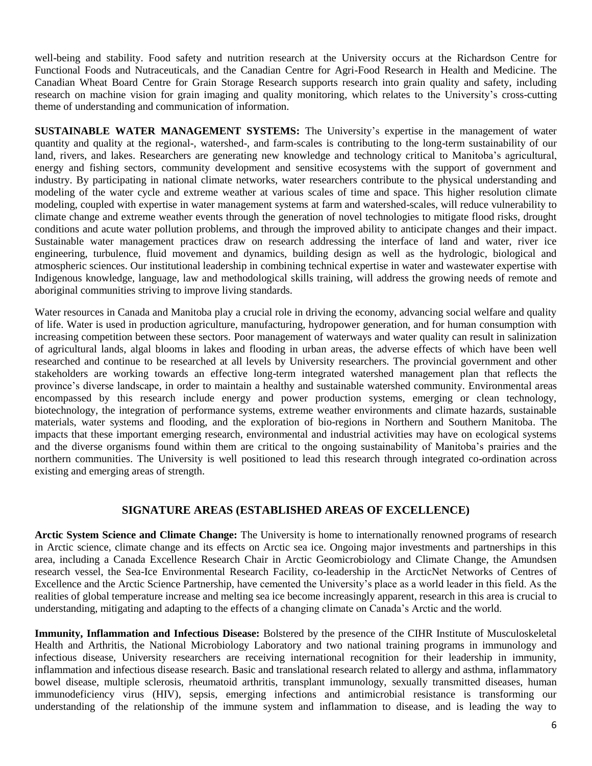well-being and stability. Food safety and nutrition research at the University occurs at the Richardson Centre for Functional Foods and Nutraceuticals, and the Canadian Centre for Agri-Food Research in Health and Medicine. The Canadian Wheat Board Centre for Grain Storage Research supports research into grain quality and safety, including research on machine vision for grain imaging and quality monitoring, which relates to the University's cross-cutting theme of understanding and communication of information.

**SUSTAINABLE WATER MANAGEMENT SYSTEMS:** The University's expertise in the management of water quantity and quality at the regional-, watershed-, and farm-scales is contributing to the long-term sustainability of our land, rivers, and lakes. Researchers are generating new knowledge and technology critical to Manitoba's agricultural, energy and fishing sectors, community development and sensitive ecosystems with the support of government and industry. By participating in national climate networks, water researchers contribute to the physical understanding and modeling of the water cycle and extreme weather at various scales of time and space. This higher resolution climate modeling, coupled with expertise in water management systems at farm and watershed-scales, will reduce vulnerability to climate change and extreme weather events through the generation of novel technologies to mitigate flood risks, drought conditions and acute water pollution problems, and through the improved ability to anticipate changes and their impact. Sustainable water management practices draw on research addressing the interface of land and water, river ice engineering, turbulence, fluid movement and dynamics, building design as well as the hydrologic, biological and atmospheric sciences. Our institutional leadership in combining technical expertise in water and wastewater expertise with Indigenous knowledge, language, law and methodological skills training, will address the growing needs of remote and aboriginal communities striving to improve living standards.

Water resources in Canada and Manitoba play a crucial role in driving the economy, advancing social welfare and quality of life. Water is used in production agriculture, manufacturing, hydropower generation, and for human consumption with increasing competition between these sectors. Poor management of waterways and water quality can result in salinization of agricultural lands, algal blooms in lakes and flooding in urban areas, the adverse effects of which have been well researched and continue to be researched at all levels by University researchers. The provincial government and other stakeholders are working towards an effective long-term integrated watershed management plan that reflects the province's diverse landscape, in order to maintain a healthy and sustainable watershed community. Environmental areas encompassed by this research include energy and power production systems, emerging or clean technology, biotechnology, the integration of performance systems, extreme weather environments and climate hazards, sustainable materials, water systems and flooding, and the exploration of bio-regions in Northern and Southern Manitoba. The impacts that these important emerging research, environmental and industrial activities may have on ecological systems and the diverse organisms found within them are critical to the ongoing sustainability of Manitoba's prairies and the northern communities. The University is well positioned to lead this research through integrated co-ordination across existing and emerging areas of strength.

# **SIGNATURE AREAS (ESTABLISHED AREAS OF EXCELLENCE)**

**Arctic System Science and Climate Change:** The University is home to internationally renowned programs of research in Arctic science, climate change and its effects on Arctic sea ice. Ongoing major investments and partnerships in this area, including a Canada Excellence Research Chair in Arctic Geomicrobiology and Climate Change, the Amundsen research vessel, the Sea-Ice Environmental Research Facility, co-leadership in the ArcticNet Networks of Centres of Excellence and the Arctic Science Partnership, have cemented the University's place as a world leader in this field. As the realities of global temperature increase and melting sea ice become increasingly apparent, research in this area is crucial to understanding, mitigating and adapting to the effects of a changing climate on Canada's Arctic and the world.

**Immunity, Inflammation and Infectious Disease:** Bolstered by the presence of the CIHR Institute of Musculoskeletal Health and Arthritis, the National Microbiology Laboratory and two national training programs in immunology and infectious disease, University researchers are receiving international recognition for their leadership in immunity, inflammation and infectious disease research. Basic and translational research related to allergy and asthma, inflammatory bowel disease, multiple sclerosis, rheumatoid arthritis, transplant immunology, sexually transmitted diseases, human immunodeficiency virus (HIV), sepsis, emerging infections and antimicrobial resistance is transforming our understanding of the relationship of the immune system and inflammation to disease, and is leading the way to